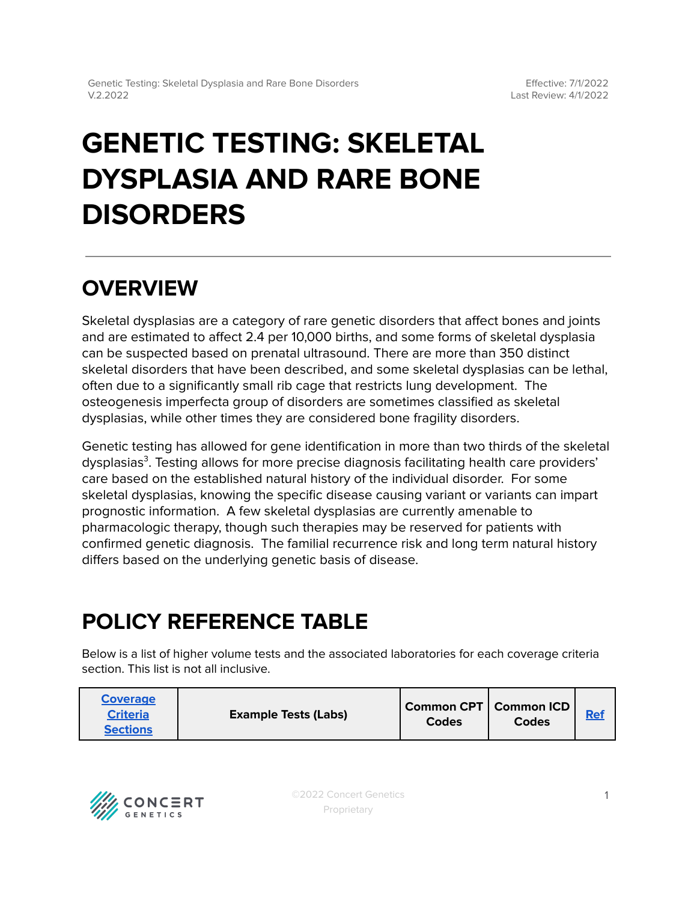# **GENETIC TESTING: SKELETAL DYSPLASIA AND RARE BONE DISORDERS**

### **OVERVIEW**

Skeletal dysplasias are a category of rare genetic disorders that affect bones and joints and are estimated to affect 2.4 per 10,000 births, and some forms of skeletal dysplasia can be suspected based on prenatal ultrasound. There are more than 350 distinct skeletal disorders that have been described, and some skeletal dysplasias can be lethal, often due to a significantly small rib cage that restricts lung development. The osteogenesis imperfecta group of disorders are sometimes classified as skeletal dysplasias, while other times they are considered bone fragility disorders.

Genetic testing has allowed for gene identification in more than two thirds of the skeletal dysplasias<sup>3</sup>. Testing allows for more precise diagnosis facilitating health care providers' care based on the established natural history of the individual disorder. For some skeletal dysplasias, knowing the specific disease causing variant or variants can impart prognostic information. A few skeletal dysplasias are currently amenable to pharmacologic therapy, though such therapies may be reserved for patients with confirmed genetic diagnosis. The familial recurrence risk and long term natural history differs based on the underlying genetic basis of disease.

## <span id="page-0-0"></span>**POLICY REFERENCE TABLE**

Below is a list of higher volume tests and the associated laboratories for each coverage criteria section. This list is not all inclusive.

| <b>Coverage</b><br><b>Criteria</b><br><b>Sections</b> | <b>Example Tests (Labs)</b> | Common CPT   Common ICD  <br><b>Codes</b> | Codes | <b>Ref</b> |
|-------------------------------------------------------|-----------------------------|-------------------------------------------|-------|------------|
|-------------------------------------------------------|-----------------------------|-------------------------------------------|-------|------------|

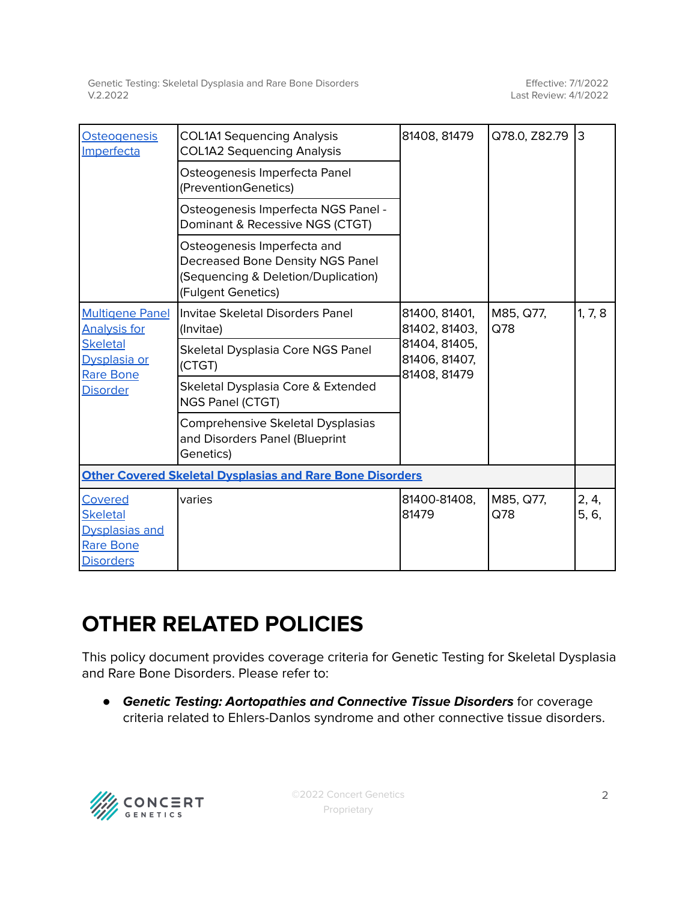| <b>Osteogenesis</b><br>Imperfecta                                                                                       | <b>COL1A1 Sequencing Analysis</b><br><b>COL1A2 Sequencing Analysis</b>                                                       | 81408, 81479                                                                     | Q78.0, Z82.79    | IЗ             |  |
|-------------------------------------------------------------------------------------------------------------------------|------------------------------------------------------------------------------------------------------------------------------|----------------------------------------------------------------------------------|------------------|----------------|--|
|                                                                                                                         | Osteogenesis Imperfecta Panel<br>(PreventionGenetics)                                                                        |                                                                                  |                  |                |  |
|                                                                                                                         | Osteogenesis Imperfecta NGS Panel -<br>Dominant & Recessive NGS (CTGT)                                                       |                                                                                  |                  |                |  |
|                                                                                                                         | Osteogenesis Imperfecta and<br>Decreased Bone Density NGS Panel<br>(Sequencing & Deletion/Duplication)<br>(Fulgent Genetics) |                                                                                  |                  |                |  |
| <b>Multigene Panel</b><br><b>Analysis for</b><br><b>Skeletal</b><br>Dysplasia or<br><b>Rare Bone</b><br><b>Disorder</b> | Invitae Skeletal Disorders Panel<br>(Invitae)                                                                                | 81400, 81401,<br>81402, 81403,<br>81404, 81405,<br>81406, 81407,<br>81408, 81479 | M85, Q77,<br>Q78 | 1, 7, 8        |  |
|                                                                                                                         | Skeletal Dysplasia Core NGS Panel<br>(CTGT)                                                                                  |                                                                                  |                  |                |  |
|                                                                                                                         | Skeletal Dysplasia Core & Extended<br>NGS Panel (CTGT)                                                                       |                                                                                  |                  |                |  |
|                                                                                                                         | Comprehensive Skeletal Dysplasias<br>and Disorders Panel (Blueprint<br>Genetics)                                             |                                                                                  |                  |                |  |
| <b>Other Covered Skeletal Dysplasias and Rare Bone Disorders</b>                                                        |                                                                                                                              |                                                                                  |                  |                |  |
| Covered<br><b>Skeletal</b><br><b>Dysplasias and</b><br>Rare Bone<br><b>Disorders</b>                                    | varies                                                                                                                       | 81400-81408,<br>81479                                                            | M85, Q77,<br>Q78 | 2, 4,<br>5, 6, |  |

### **OTHER RELATED POLICIES**

This policy document provides coverage criteria for Genetic Testing for Skeletal Dysplasia and Rare Bone Disorders. Please refer to:

*●* **Genetic Testing: Aortopathies and Connective Tissue Disorders** for coverage criteria related to Ehlers-Danlos syndrome and other connective tissue disorders.

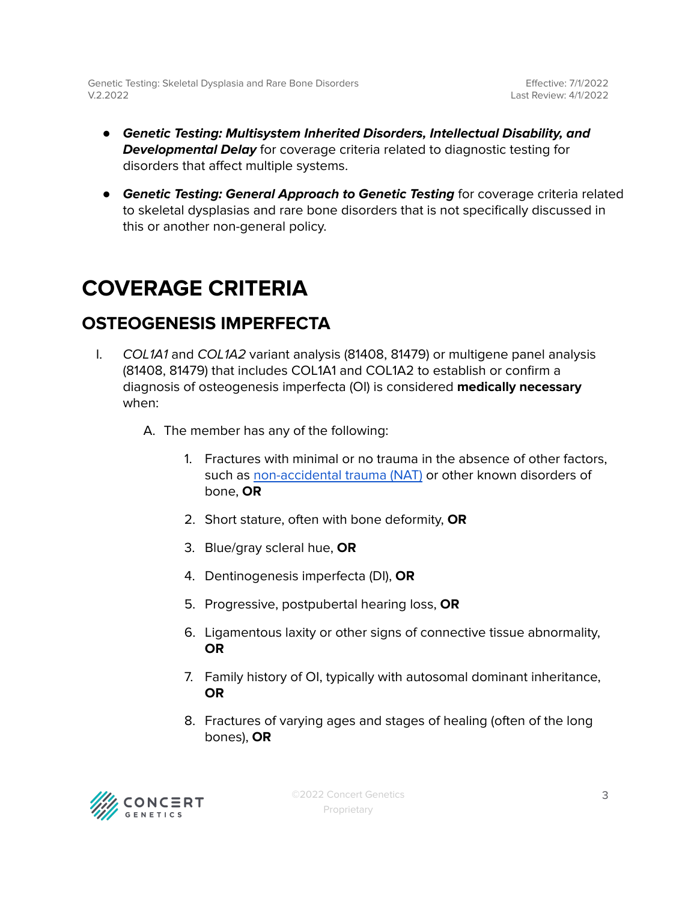- **Genetic Testing: Multisystem Inherited Disorders, Intellectual Disability, and Developmental Delay** for coverage criteria related to diagnostic testing for disorders that affect multiple systems.
- **Genetic Testing: General Approach to Genetic Testing** for coverage criteria related to skeletal dysplasias and rare bone disorders that is not specifically discussed in this or another non-general policy.

### <span id="page-2-0"></span>**COVERAGE CRITERIA**

### <span id="page-2-1"></span>**OSTEOGENESIS IMPERFECTA**

- I. COL1A1 and COL1A2 variant analysis (81408, 81479) or multigene panel analysis (81408, 81479) that includes COL1A1 and COL1A2 to establish or confirm a diagnosis of osteogenesis imperfecta (OI) is considered **medically necessary** when:
	- A. The member has any of the following:
		- 1. Fractures with minimal or no trauma in the absence of other factors, such as [non-accidental](#page-6-0) trauma (NAT) or other known disorders of bone, **OR**
		- 2. Short stature, often with bone deformity, **OR**
		- 3. Blue/gray scleral hue, **OR**
		- 4. Dentinogenesis imperfecta (DI), **OR**
		- 5. Progressive, postpubertal hearing loss, **OR**
		- 6. Ligamentous laxity or other signs of connective tissue abnormality, **OR**
		- 7. Family history of OI, typically with autosomal dominant inheritance, **OR**
		- 8. Fractures of varying ages and stages of healing (often of the long bones), **OR**

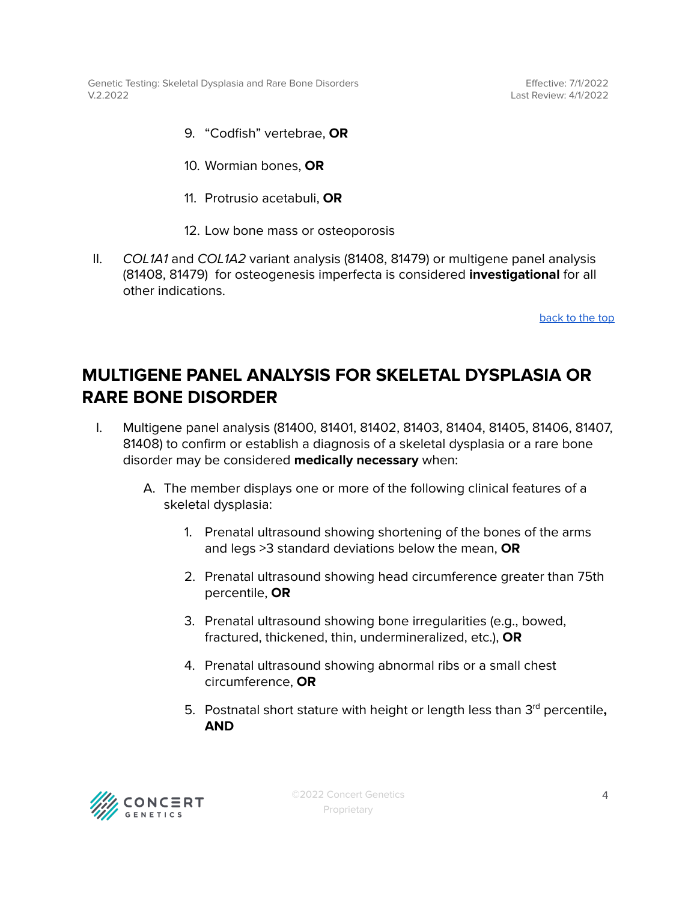Effective: 7/1/2022 Last Review: 4/1/2022

9. "Codfish" vertebrae, **OR**

10. Wormian bones, **OR**

- 11. Protrusio acetabuli, **OR**
- 12. Low bone mass or osteoporosis
- II. COL1A1 and COL1A2 variant analysis (81408, 81479) or multigene panel analysis (81408, 81479) for osteogenesis imperfecta is considered **investigational** for all other indications.

[back](#page-0-0) to the top

#### <span id="page-3-0"></span>**MULTIGENE PANEL ANALYSIS FOR SKELETAL DYSPLASIA OR RARE BONE DISORDER**

- I. Multigene panel analysis (81400, 81401, 81402, 81403, 81404, 81405, 81406, 81407, 81408) to confirm or establish a diagnosis of a skeletal dysplasia or a rare bone disorder may be considered **medically necessary** when:
	- A. The member displays one or more of the following clinical features of a skeletal dysplasia:
		- 1. Prenatal ultrasound showing shortening of the bones of the arms and legs >3 standard deviations below the mean, **OR**
		- 2. Prenatal ultrasound showing head circumference greater than 75th percentile, **OR**
		- 3. Prenatal ultrasound showing bone irregularities (e.g., bowed, fractured, thickened, thin, undermineralized, etc.), **OR**
		- 4. Prenatal ultrasound showing abnormal ribs or a small chest circumference, **OR**
		- 5. Postnatal short stature with height or length less than 3 rd percentile**, AND**

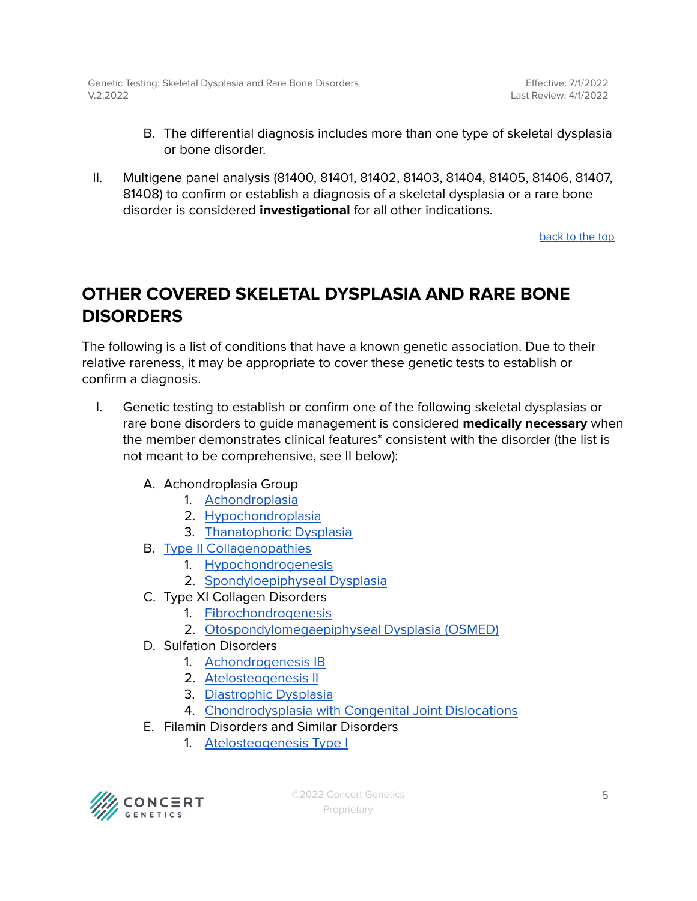- B. The differential diagnosis includes more than one type of skeletal dysplasia or bone disorder.
- II. Multigene panel analysis (81400, 81401, 81402, 81403, 81404, 81405, 81406, 81407, 81408) to confirm or establish a diagnosis of a skeletal dysplasia or a rare bone disorder is considered **investigational** for all other indications.

[back](#page-0-0) to the top

### <span id="page-4-0"></span>**OTHER COVERED SKELETAL DYSPLASIA AND RARE BONE DISORDERS**

The following is a list of conditions that have a known genetic association. Due to their relative rareness, it may be appropriate to cover these genetic tests to establish or confirm a diagnosis.

- I. Genetic testing to establish or confirm one of the following skeletal dysplasias or rare bone disorders to guide management is considered **medically necessary** when the member demonstrates clinical features\* consistent with the disorder (the list is not meant to be comprehensive, see II below):
	- A. Achondroplasia Group
		- 1. [Achondroplasia](https://www.ncbi.nlm.nih.gov/books/NBK1152/)
		- 2. [Hypochondroplasia](https://www.ncbi.nlm.nih.gov/books/NBK1477/)
		- 3. [Thanatophoric](https://www.ncbi.nlm.nih.gov/books/NBK1366/) Dysplasia
	- B. Type II [Collagenopathies](https://www.ncbi.nlm.nih.gov/books/NBK540447/)
		- 1. [Hypochondrogenesis](https://medlineplus.gov/genetics/condition/hypochondrogenesis/)
		- 2. [Spondyloepiphyseal](https://medlineplus.gov/genetics/condition/spondyloepiphyseal-dysplasia-congenita/) Dysplasia
	- C. Type XI Collagen Disorders
		- 1. [Fibrochondrogenesis](https://medlineplus.gov/genetics/condition/fibrochondrogenesis/)
		- 2. [Otospondylomegaepiphyseal](https://medlineplus.gov/genetics/condition/otospondylomegaepiphyseal-dysplasia/) Dysplasia (OSMED)
	- D. Sulfation Disorders
		- 1. [Achondrogenesis](https://www.ncbi.nlm.nih.gov/books/NBK1516/) IB
		- 2. [Atelosteogenesis](https://www.ncbi.nlm.nih.gov/books/NBK1317/) II
		- 3. [Diastrophic](https://www.ncbi.nlm.nih.gov/books/NBK1350/) Dysplasia
		- 4. [Chondrodysplasia](https://www.ncbi.nlm.nih.gov/books/NBK62112/) with Congenital Joint Dislocations
	- E. Filamin Disorders and Similar Disorders
		- 1. [Atelosteogenesis](https://medlineplus.gov/genetics/condition/atelosteogenesis-type-1/) Type I

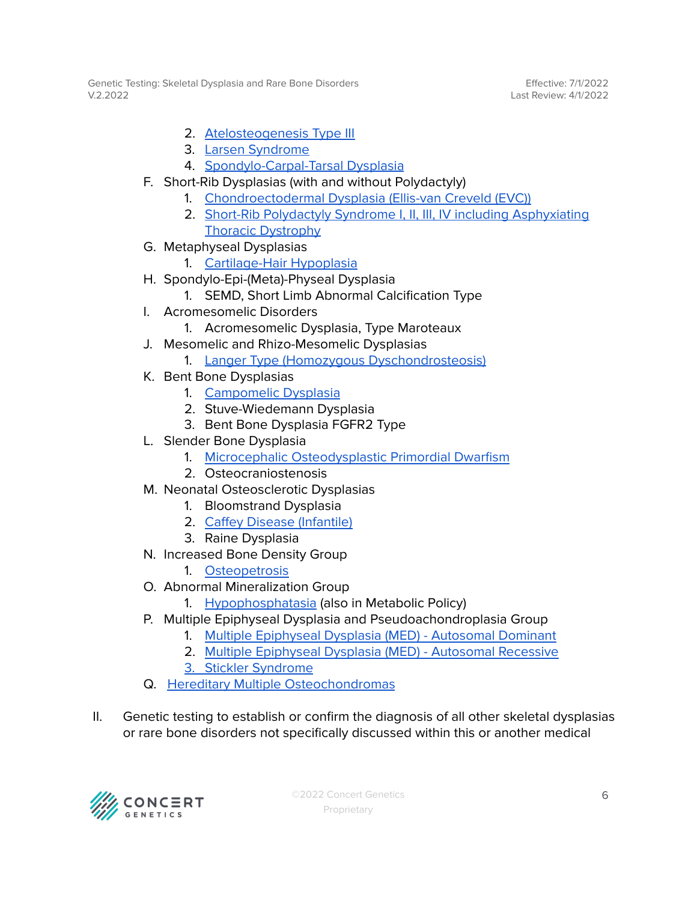Effective: 7/1/2022 Last Review: 4/1/2022

- 2. [Atelosteogenesis](https://medlineplus.gov/genetics/condition/atelosteogenesis-type-3/) Type III
- 3. Larsen [Syndrome](https://medlineplus.gov/genetics/condition/larsen-syndrome/)
- 4. [Spondylo-Carpal-Tarsal](https://medlineplus.gov/genetics/condition/spondylocarpotarsal-synostosis-syndrome/) Dysplasia
- F. Short-Rib Dysplasias (with and without Polydactyly)
	- 1. [Chondroectodermal](https://medlineplus.gov/genetics/condition/ellis-van-creveld-syndrome/) Dysplasia (Ellis-van Creveld (EVC))
	- 2. Short-Rib Polydactyly Syndrome I, II, III, IV including [Asphyxiating](https://medlineplus.gov/genetics/condition/asphyxiating-thoracic-dystrophy/) Thoracic [Dystrophy](https://medlineplus.gov/genetics/condition/asphyxiating-thoracic-dystrophy/)
- G. Metaphyseal Dysplasias
	- 1. [Cartilage-Hair](https://medlineplus.gov/genetics/condition/cartilage-hair-hypoplasia/) Hypoplasia
- H. Spondylo-Epi-(Meta)-Physeal Dysplasia
	- 1. SEMD, Short Limb Abnormal Calcification Type
- I. Acromesomelic Disorders
	- 1. Acromesomelic Dysplasia, Type Maroteaux
- J. Mesomelic and Rhizo-Mesomelic Dysplasias
	- 1. Langer Type (Homozygous [Dyschondrosteosis\)](https://medlineplus.gov/genetics/condition/langer-mesomelic-dysplasia/)
- K. Bent Bone Dysplasias
	- 1. [Campomelic](https://www.ncbi.nlm.nih.gov/books/NBK1760/) Dysplasia
	- 2. Stuve-Wiedemann Dysplasia
	- 3. Bent Bone Dysplasia FGFR2 Type
- L. Slender Bone Dysplasia
	- 1. Microcephalic [Osteodysplastic](https://medlineplus.gov/genetics/condition/microcephalic-osteodysplastic-primordial-dwarfism-type-ii/) Primordial Dwarfism
	- 2. Osteocraniostenosis
- M. Neonatal Osteosclerotic Dysplasias
	- 1. Bloomstrand Dysplasia
	- 2. Caffey Disease [\(Infantile\)](https://medlineplus.gov/genetics/condition/caffey-disease/)
	- 3. Raine Dysplasia
- N. Increased Bone Density Group
	- 1. [Osteopetrosis](https://www.ncbi.nlm.nih.gov/books/NBK1127/)
- O. Abnormal Mineralization Group
	- 1. [Hypophosphatasia](https://www.ncbi.nlm.nih.gov/books/NBK1150/) (also in Metabolic Policy)
- P. Multiple Epiphyseal Dysplasia and Pseudoachondroplasia Group
	- 1. Multiple [Epiphyseal](https://www.ncbi.nlm.nih.gov/books/NBK1123/) Dysplasia (MED) Autosomal Dominant
	- 2. Multiple [Epiphyseal](https://www.ncbi.nlm.nih.gov/books/NBK1306/) Dysplasia (MED) Autosomal Recessive
	- 3. Stickler [Syndrome](https://www.ncbi.nlm.nih.gov/books/NBK1302/)
- Q. Hereditary Multiple [Osteochondromas](https://www.ncbi.nlm.nih.gov/books/NBK1235/)
- II. Genetic testing to establish or confirm the diagnosis of all other skeletal dysplasias or rare bone disorders not specifically discussed within this or another medical

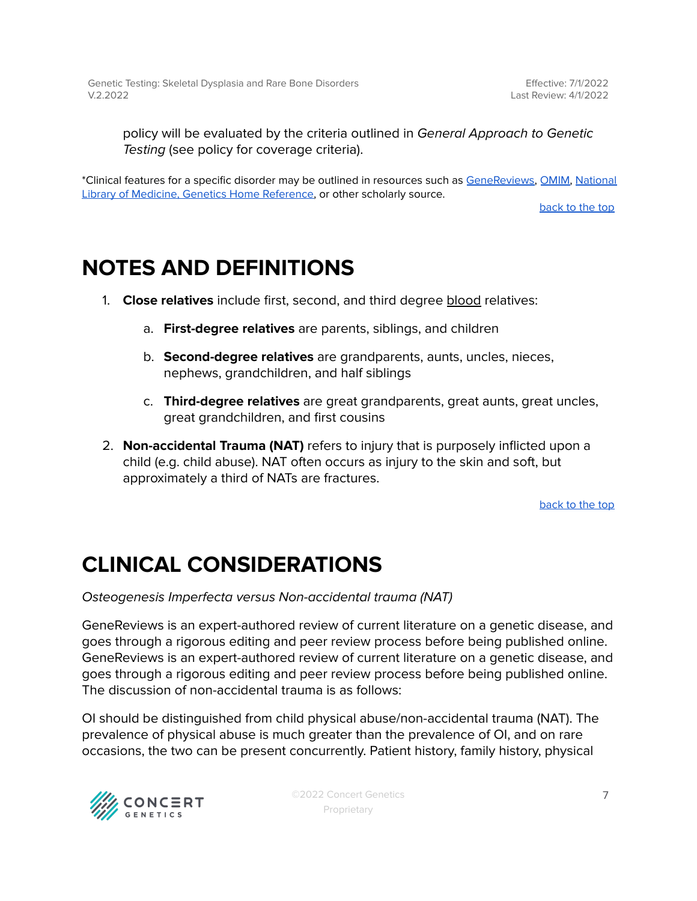policy will be evaluated by the criteria outlined in General Approach to Genetic Testing (see policy for coverage criteria).

\*Clinical features for a specific disorder may be outlined in resources such as [GeneReviews,](https://www.ncbi.nlm.nih.gov/books/NBK1116/) [OMIM,](https://www.omim.org/) [National](https://medlineplus.gov/genetics/) Library of Medicine, Genetics Home [Reference,](https://medlineplus.gov/genetics/) or other scholarly source.

[back](#page-0-0) to the top

### <span id="page-6-0"></span>**NOTES AND DEFINITIONS**

- 1. **Close relatives** include first, second, and third degree blood relatives:
	- a. **First-degree relatives** are parents, siblings, and children
	- b. **Second-degree relatives** are grandparents, aunts, uncles, nieces, nephews, grandchildren, and half siblings
	- c. **Third-degree relatives** are great grandparents, great aunts, great uncles, great grandchildren, and first cousins
- 2. **Non-accidental Trauma (NAT)** refers to injury that is purposely inflicted upon a child (e.g. child abuse). NAT often occurs as injury to the skin and soft, but approximately a third of NATs are fractures.

[back](#page-0-0) to the top

### **CLINICAL CONSIDERATIONS**

Osteogenesis Imperfecta versus Non-accidental trauma (NAT)

GeneReviews is an expert-authored review of current literature on a genetic disease, and goes through a rigorous editing and peer review process before being published online. GeneReviews is an expert-authored review of current literature on a genetic disease, and goes through a rigorous editing and peer review process before being published online. The discussion of non-accidental trauma is as follows:

OI should be distinguished from child physical abuse/non-accidental trauma (NAT). The prevalence of physical abuse is much greater than the prevalence of OI, and on rare occasions, the two can be present concurrently. Patient history, family history, physical



©2022 Concert Genetics Proprietary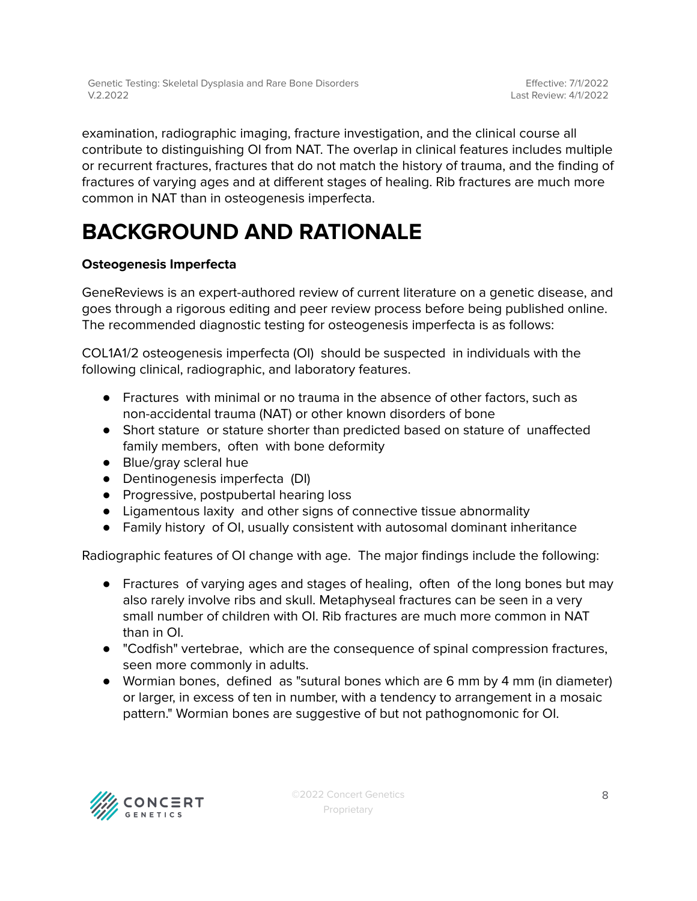examination, radiographic imaging, fracture investigation, and the clinical course all contribute to distinguishing OI from NAT. The overlap in clinical features includes multiple or recurrent fractures, fractures that do not match the history of trauma, and the finding of fractures of varying ages and at different stages of healing. Rib fractures are much more common in NAT than in osteogenesis imperfecta.

## **BACKGROUND AND RATIONALE**

#### **Osteogenesis Imperfecta**

GeneReviews is an expert-authored review of current literature on a genetic disease, and goes through a rigorous editing and peer review process before being published online. The recommended diagnostic testing for osteogenesis imperfecta is as follows:

COL1A1/2 osteogenesis imperfecta (OI) should be suspected in individuals with the following clinical, radiographic, and laboratory features.

- Fractures with minimal or no trauma in the absence of other factors, such as non-accidental trauma (NAT) or other known disorders of bone
- Short stature or stature shorter than predicted based on stature of unaffected family members, often with bone deformity
- Blue/gray scleral hue
- Dentinogenesis imperfecta (DI)
- Progressive, postpubertal hearing loss
- Ligamentous laxity and other signs of connective tissue abnormality
- Family history of OI, usually consistent with autosomal dominant inheritance

Radiographic features of OI change with age. The major findings include the following:

- Fractures of varying ages and stages of healing, often of the long bones but may also rarely involve ribs and skull. Metaphyseal fractures can be seen in a very small number of children with OI. Rib fractures are much more common in NAT than in OI.
- "Codfish" vertebrae, which are the consequence of spinal compression fractures, seen more commonly in adults.
- Wormian bones, defined as "sutural bones which are 6 mm by 4 mm (in diameter) or larger, in excess of ten in number, with a tendency to arrangement in a mosaic pattern." Wormian bones are suggestive of but not pathognomonic for OI.

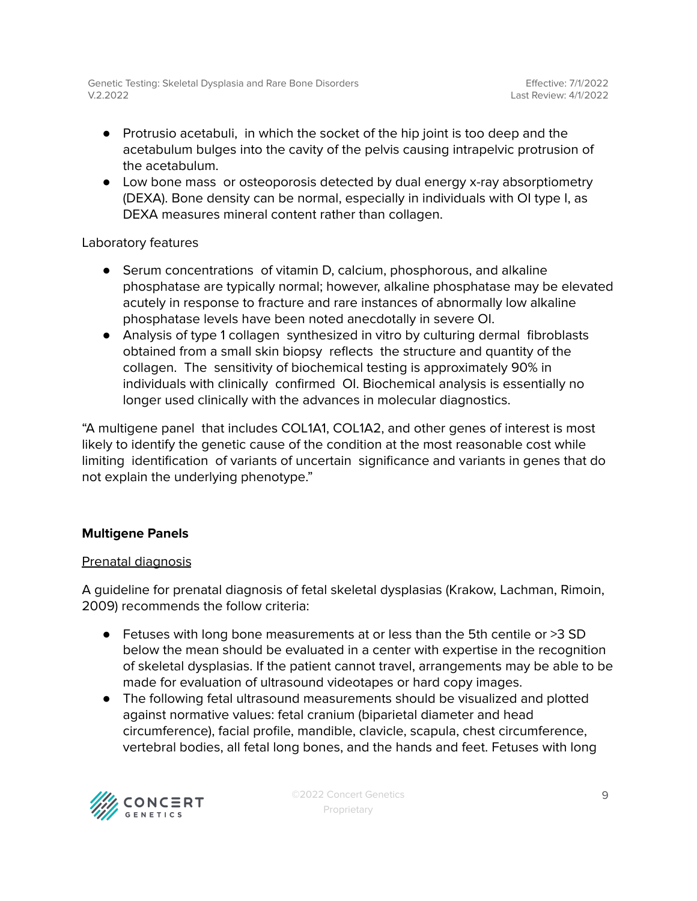- Protrusio acetabuli, in which the socket of the hip joint is too deep and the acetabulum bulges into the cavity of the pelvis causing intrapelvic protrusion of the acetabulum.
- Low bone mass or osteoporosis detected by dual energy x-ray absorptiometry (DEXA). Bone density can be normal, especially in individuals with OI type I, as DEXA measures mineral content rather than collagen.

#### Laboratory features

- Serum concentrations of vitamin D, calcium, phosphorous, and alkaline phosphatase are typically normal; however, alkaline phosphatase may be elevated acutely in response to fracture and rare instances of abnormally low alkaline phosphatase levels have been noted anecdotally in severe OI.
- Analysis of type 1 collagen synthesized in vitro by culturing dermal fibroblasts obtained from a small skin biopsy reflects the structure and quantity of the collagen. The sensitivity of biochemical testing is approximately 90% in individuals with clinically confirmed OI. Biochemical analysis is essentially no longer used clinically with the advances in molecular diagnostics.

"A multigene panel that includes COL1A1, COL1A2, and other genes of interest is most likely to identify the genetic cause of the condition at the most reasonable cost while limiting identification of variants of uncertain significance and variants in genes that do not explain the underlying phenotype."

#### **Multigene Panels**

#### Prenatal diagnosis

A guideline for prenatal diagnosis of fetal skeletal dysplasias (Krakow, Lachman, Rimoin, 2009) recommends the follow criteria:

- Fetuses with long bone measurements at or less than the 5th centile or >3 SD below the mean should be evaluated in a center with expertise in the recognition of skeletal dysplasias. If the patient cannot travel, arrangements may be able to be made for evaluation of ultrasound videotapes or hard copy images.
- The following fetal ultrasound measurements should be visualized and plotted against normative values: fetal cranium (biparietal diameter and head circumference), facial profile, mandible, clavicle, scapula, chest circumference, vertebral bodies, all fetal long bones, and the hands and feet. Fetuses with long

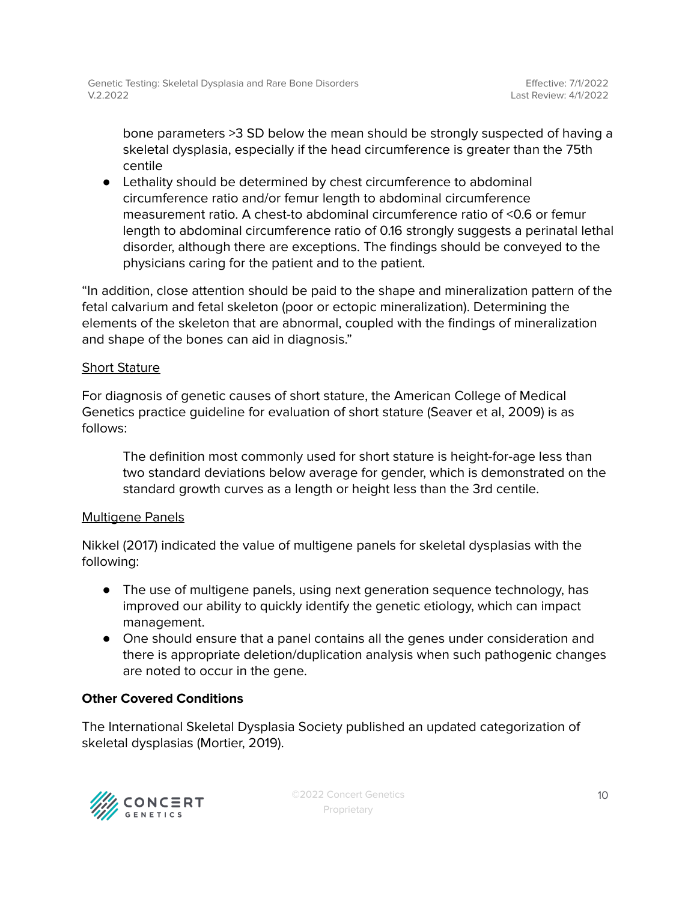bone parameters >3 SD below the mean should be strongly suspected of having a skeletal dysplasia, especially if the head circumference is greater than the 75th centile

● Lethality should be determined by chest circumference to abdominal circumference ratio and/or femur length to abdominal circumference measurement ratio. A chest-to abdominal circumference ratio of <0.6 or femur length to abdominal circumference ratio of 0.16 strongly suggests a perinatal lethal disorder, although there are exceptions. The findings should be conveyed to the physicians caring for the patient and to the patient.

"In addition, close attention should be paid to the shape and mineralization pattern of the fetal calvarium and fetal skeleton (poor or ectopic mineralization). Determining the elements of the skeleton that are abnormal, coupled with the findings of mineralization and shape of the bones can aid in diagnosis."

#### Short Stature

For diagnosis of genetic causes of short stature, the American College of Medical Genetics practice guideline for evaluation of short stature (Seaver et al, 2009) is as follows:

The definition most commonly used for short stature is height-for-age less than two standard deviations below average for gender, which is demonstrated on the standard growth curves as a length or height less than the 3rd centile.

#### Multigene Panels

Nikkel (2017) indicated the value of multigene panels for skeletal dysplasias with the following:

- The use of multigene panels, using next generation sequence technology, has improved our ability to quickly identify the genetic etiology, which can impact management.
- One should ensure that a panel contains all the genes under consideration and there is appropriate deletion/duplication analysis when such pathogenic changes are noted to occur in the gene.

#### **Other Covered Conditions**

The International Skeletal Dysplasia Society published an updated categorization of skeletal dysplasias (Mortier, 2019).

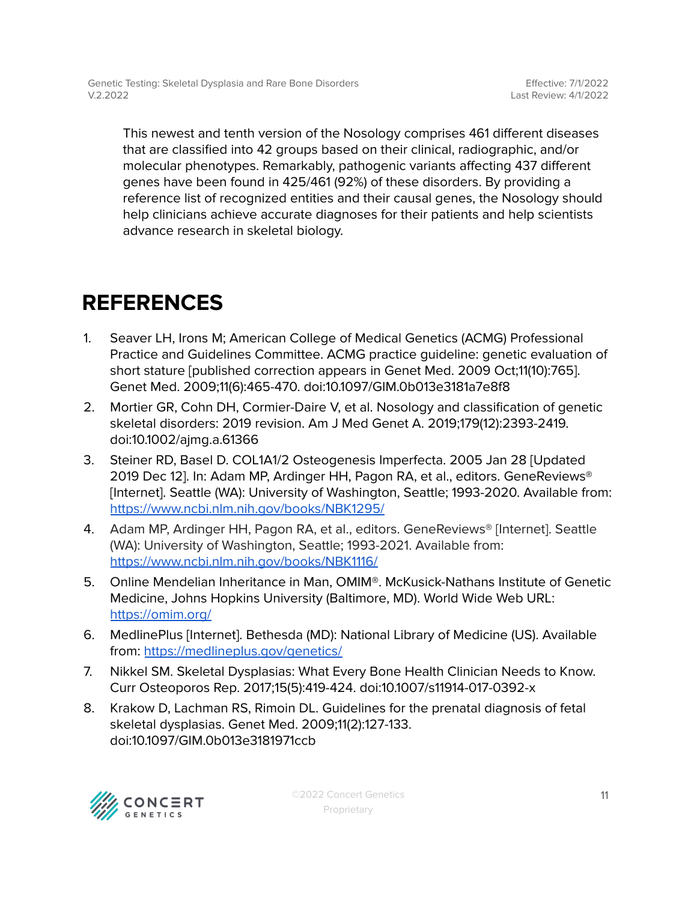This newest and tenth version of the Nosology comprises 461 different diseases that are classified into 42 groups based on their clinical, radiographic, and/or molecular phenotypes. Remarkably, pathogenic variants affecting 437 different genes have been found in 425/461 (92%) of these disorders. By providing a reference list of recognized entities and their causal genes, the Nosology should help clinicians achieve accurate diagnoses for their patients and help scientists advance research in skeletal biology.

## <span id="page-10-0"></span>**REFERENCES**

- 1. Seaver LH, Irons M; American College of Medical Genetics (ACMG) Professional Practice and Guidelines Committee. ACMG practice guideline: genetic evaluation of short stature [published correction appears in Genet Med. 2009 Oct;11(10):765]. Genet Med. 2009;11(6):465-470. doi:10.1097/GIM.0b013e3181a7e8f8
- 2. Mortier GR, Cohn DH, Cormier-Daire V, et al. Nosology and classification of genetic skeletal disorders: 2019 revision. Am J Med Genet A. 2019;179(12):2393-2419. doi:10.1002/ajmg.a.61366
- 3. Steiner RD, Basel D. COL1A1/2 Osteogenesis Imperfecta. 2005 Jan 28 [Updated 2019 Dec 12]. In: Adam MP, Ardinger HH, Pagon RA, et al., editors. GeneReviews® [Internet]. Seattle (WA): University of Washington, Seattle; 1993-2020. Available from: <https://www.ncbi.nlm.nih.gov/books/NBK1295/>
- 4. Adam MP, Ardinger HH, Pagon RA, et al., editors. GeneReviews® [Internet]. Seattle (WA): University of Washington, Seattle; 1993-2021. Available from: <https://www.ncbi.nlm.nih.gov/books/NBK1116/>
- 5. Online Mendelian Inheritance in Man, OMIM®. McKusick-Nathans Institute of Genetic Medicine, Johns Hopkins University (Baltimore, MD). World Wide Web URL: <https://omim.org/>
- 6. MedlinePlus [Internet]. Bethesda (MD): National Library of Medicine (US). Available from: <https://medlineplus.gov/genetics/>
- 7. Nikkel SM. Skeletal Dysplasias: What Every Bone Health Clinician Needs to Know. Curr Osteoporos Rep. 2017;15(5):419-424. doi:10.1007/s11914-017-0392-x
- 8. Krakow D, Lachman RS, Rimoin DL. Guidelines for the prenatal diagnosis of fetal skeletal dysplasias. Genet Med. 2009;11(2):127-133. doi:10.1097/GIM.0b013e3181971ccb